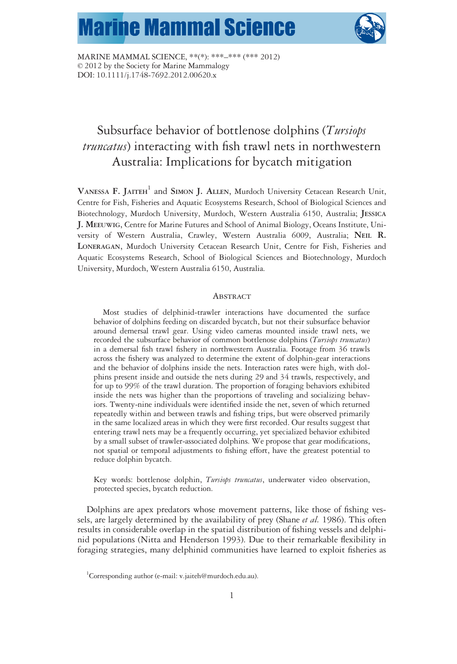# **Marine Mammal Science**



MARINE MAMMAL SCIENCE, \*\*(\*): \*\*\*–\*\*\* (\*\*\* 2012) © 2012 by the Society for Marine Mammalogy DOI: 10.1111/j.1748-7692.2012.00620.x

# Subsurface behavior of bottlenose dolphins (Tursiops truncatus) interacting with fish trawl nets in northwestern Australia: Implications for bycatch mitigation

VANESSA F. JAITEH<sup>1</sup> and SIMON J. ALLEN, Murdoch University Cetacean Research Unit, Centre for Fish, Fisheries and Aquatic Ecosystems Research, School of Biological Sciences and Biotechnology, Murdoch University, Murdoch, Western Australia 6150, Australia; JESSICA J. MEEUWIG, Centre for Marine Futures and School of Animal Biology, Oceans Institute, University of Western Australia, Crawley, Western Australia 6009, Australia; NEIL R. LONERAGAN, Murdoch University Cetacean Research Unit, Centre for Fish, Fisheries and Aquatic Ecosystems Research, School of Biological Sciences and Biotechnology, Murdoch University, Murdoch, Western Australia 6150, Australia.

## **ABSTRACT**

Most studies of delphinid-trawler interactions have documented the surface behavior of dolphins feeding on discarded bycatch, but not their subsurface behavior around demersal trawl gear. Using video cameras mounted inside trawl nets, we recorded the subsurface behavior of common bottlenose dolphins (Tursiops truncatus) in a demersal fish trawl fishery in northwestern Australia. Footage from 36 trawls across the fishery was analyzed to determine the extent of dolphin-gear interactions and the behavior of dolphins inside the nets. Interaction rates were high, with dolphins present inside and outside the nets during 29 and 34 trawls, respectively, and for up to 99% of the trawl duration. The proportion of foraging behaviors exhibited inside the nets was higher than the proportions of traveling and socializing behaviors. Twenty-nine individuals were identified inside the net, seven of which returned repeatedly within and between trawls and fishing trips, but were observed primarily in the same localized areas in which they were first recorded. Our results suggest that entering trawl nets may be a frequently occurring, yet specialized behavior exhibited by a small subset of trawler-associated dolphins. We propose that gear modifications, not spatial or temporal adjustments to fishing effort, have the greatest potential to reduce dolphin bycatch.

Key words: bottlenose dolphin, Tursiops truncatus, underwater video observation, protected species, bycatch reduction.

Dolphins are apex predators whose movement patterns, like those of fishing vessels, are largely determined by the availability of prey (Shane *et al.* 1986). This often results in considerable overlap in the spatial distribution of fishing vessels and delphinid populations (Nitta and Henderson 1993). Due to their remarkable flexibility in foraging strategies, many delphinid communities have learned to exploit fisheries as

<sup>&</sup>lt;sup>1</sup>Corresponding author (e-mail: v.jaiteh@murdoch.edu.au).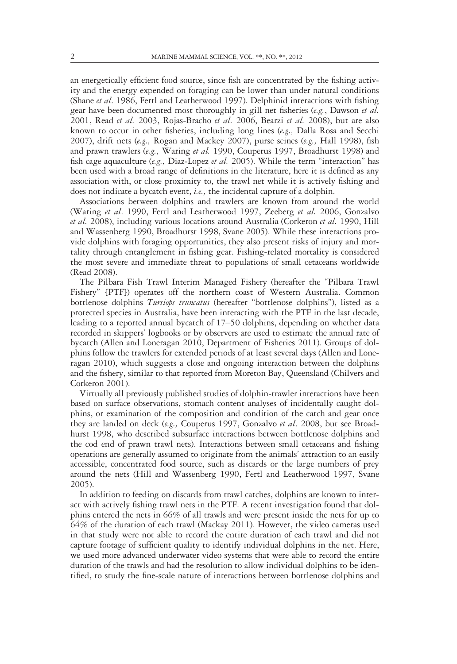an energetically efficient food source, since fish are concentrated by the fishing activity and the energy expended on foraging can be lower than under natural conditions (Shane et al. 1986, Fertl and Leatherwood 1997). Delphinid interactions with fishing gear have been documented most thoroughly in gill net fisheries  $(e.g.,$  Dawson et al. 2001, Read et al. 2003, Rojas-Bracho et al. 2006, Bearzi et al. 2008), but are also known to occur in other fisheries, including long lines (e.g., Dalla Rosa and Secchi 2007), drift nets (e.g., Rogan and Mackey 2007), purse seines (e.g., Hall 1998), fish and prawn trawlers (e.g., Waring et al. 1990, Couperus 1997, Broadhurst 1998) and fish cage aquaculture (e.g., Diaz-Lopez et al. 2005). While the term "interaction" has been used with a broad range of definitions in the literature, here it is defined as any association with, or close proximity to, the trawl net while it is actively fishing and does not indicate a bycatch event, i.e., the incidental capture of a dolphin.

Associations between dolphins and trawlers are known from around the world (Waring et al. 1990, Fertl and Leatherwood 1997, Zeeberg et al. 2006, Gonzalvo et al. 2008), including various locations around Australia (Corkeron et al. 1990, Hill and Wassenberg 1990, Broadhurst 1998, Svane 2005). While these interactions provide dolphins with foraging opportunities, they also present risks of injury and mortality through entanglement in fishing gear. Fishing-related mortality is considered the most severe and immediate threat to populations of small cetaceans worldwide (Read 2008).

The Pilbara Fish Trawl Interim Managed Fishery (hereafter the "Pilbara Trawl Fishery" [PTF]) operates off the northern coast of Western Australia. Common bottlenose dolphins Tursiops truncatus (hereafter "bottlenose dolphins"), listed as a protected species in Australia, have been interacting with the PTF in the last decade, leading to a reported annual bycatch of 17–50 dolphins, depending on whether data recorded in skippers' logbooks or by observers are used to estimate the annual rate of bycatch (Allen and Loneragan 2010, Department of Fisheries 2011). Groups of dolphins follow the trawlers for extended periods of at least several days (Allen and Loneragan 2010), which suggests a close and ongoing interaction between the dolphins and the fishery, similar to that reported from Moreton Bay, Queensland (Chilvers and Corkeron 2001).

Virtually all previously published studies of dolphin-trawler interactions have been based on surface observations, stomach content analyses of incidentally caught dolphins, or examination of the composition and condition of the catch and gear once they are landed on deck (e.g., Couperus 1997, Gonzalvo et al. 2008, but see Broadhurst 1998, who described subsurface interactions between bottlenose dolphins and the cod end of prawn trawl nets). Interactions between small cetaceans and fishing operations are generally assumed to originate from the animals' attraction to an easily accessible, concentrated food source, such as discards or the large numbers of prey around the nets (Hill and Wassenberg 1990, Fertl and Leatherwood 1997, Svane 2005).

In addition to feeding on discards from trawl catches, dolphins are known to interact with actively fishing trawl nets in the PTF. A recent investigation found that dolphins entered the nets in 66% of all trawls and were present inside the nets for up to 64% of the duration of each trawl (Mackay 2011). However, the video cameras used in that study were not able to record the entire duration of each trawl and did not capture footage of sufficient quality to identify individual dolphins in the net. Here, we used more advanced underwater video systems that were able to record the entire duration of the trawls and had the resolution to allow individual dolphins to be identified, to study the fine-scale nature of interactions between bottlenose dolphins and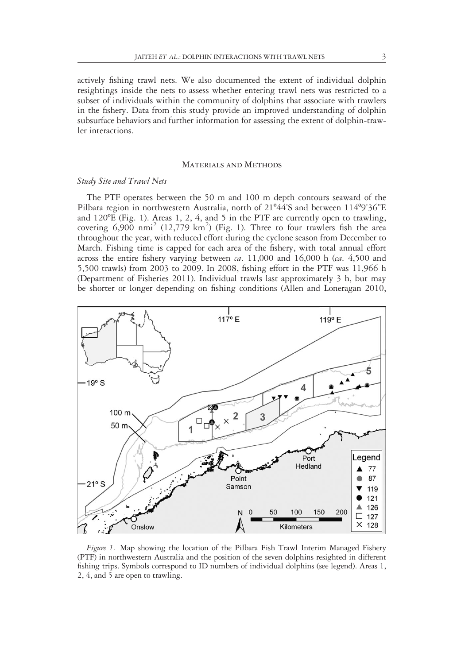actively fishing trawl nets. We also documented the extent of individual dolphin resightings inside the nets to assess whether entering trawl nets was restricted to a subset of individuals within the community of dolphins that associate with trawlers in the fishery. Data from this study provide an improved understanding of dolphin subsurface behaviors and further information for assessing the extent of dolphin-trawler interactions.

# MATERIALS AND METHODS

## Study Site and Trawl Nets

The PTF operates between the 50 m and 100 m depth contours seaward of the Pilbara region in northwestern Australia, north of 21º44'S and between 114º9'36"E and 120ºE (Fig. 1). Areas 1, 2, 4, and 5 in the PTF are currently open to trawling, covering  $6,900$  nmi<sup>2</sup> (12,779 km<sup>2</sup>) (Fig. 1). Three to four trawlers fish the area throughout the year, with reduced effort during the cyclone season from December to March. Fishing time is capped for each area of the fishery, with total annual effort across the entire fishery varying between  $ca. 11,000$  and  $16,000$  h ( $ca. 4,500$  and 5,500 trawls) from 2003 to 2009. In 2008, fishing effort in the PTF was 11,966 h (Department of Fisheries 2011). Individual trawls last approximately 3 h, but may be shorter or longer depending on fishing conditions (Allen and Loneragan 2010,



Figure 1. Map showing the location of the Pilbara Fish Trawl Interim Managed Fishery (PTF) in northwestern Australia and the position of the seven dolphins resighted in different fishing trips. Symbols correspond to ID numbers of individual dolphins (see legend). Areas 1, 2, 4, and 5 are open to trawling.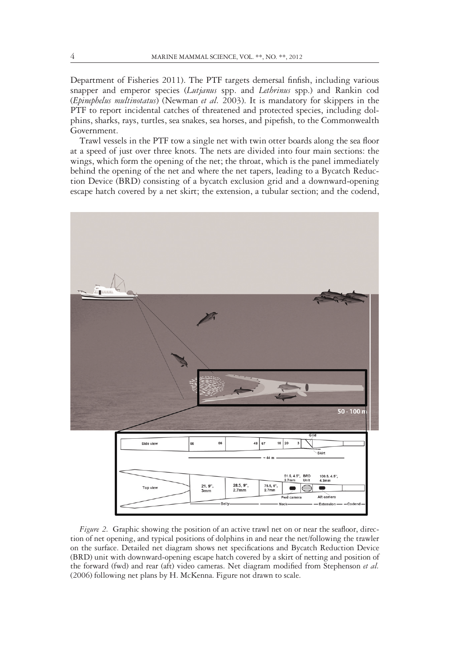Department of Fisheries 2011). The PTF targets demersal finfish, including various snapper and emperor species (Lutjanus spp. and Lethrinus spp.) and Rankin cod (Epinephelus multinotatus) (Newman et al. 2003). It is mandatory for skippers in the PTF to report incidental catches of threatened and protected species, including dolphins, sharks, rays, turtles, sea snakes, sea horses, and pipefish, to the Commonwealth Government.

Trawl vessels in the PTF tow a single net with twin otter boards along the sea floor at a speed of just over three knots. The nets are divided into four main sections: the wings, which form the opening of the net; the throat, which is the panel immediately behind the opening of the net and where the net tapers, leading to a Bycatch Reduction Device (BRD) consisting of a bycatch exclusion grid and a downward-opening escape hatch covered by a net skirt; the extension, a tubular section; and the codend,



Figure 2. Graphic showing the position of an active trawl net on or near the seafloor, direction of net opening, and typical positions of dolphins in and near the net/following the trawler on the surface. Detailed net diagram shows net specifications and Bycatch Reduction Device (BRD) unit with downward-opening escape hatch covered by a skirt of netting and position of the forward (fwd) and rear (aft) video cameras. Net diagram modified from Stephenson et al. (2006) following net plans by H. McKenna. Figure not drawn to scale.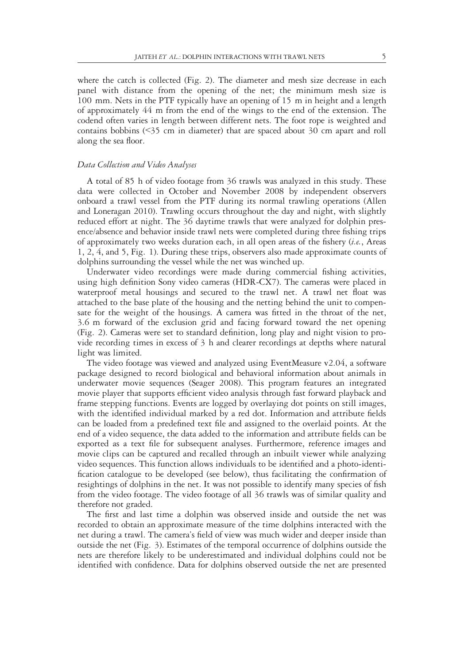where the catch is collected (Fig. 2). The diameter and mesh size decrease in each panel with distance from the opening of the net; the minimum mesh size is 100 mm. Nets in the PTF typically have an opening of 15 m in height and a length of approximately 44 m from the end of the wings to the end of the extension. The codend often varies in length between different nets. The foot rope is weighted and contains bobbins (<35 cm in diameter) that are spaced about 30 cm apart and roll along the sea floor.

# Data Collection and Video Analyses

A total of 85 h of video footage from 36 trawls was analyzed in this study. These data were collected in October and November 2008 by independent observers onboard a trawl vessel from the PTF during its normal trawling operations (Allen and Loneragan 2010). Trawling occurs throughout the day and night, with slightly reduced effort at night. The 36 daytime trawls that were analyzed for dolphin presence/absence and behavior inside trawl nets were completed during three fishing trips of approximately two weeks duration each, in all open areas of the fishery (i.e., Areas 1, 2, 4, and 5, Fig. 1). During these trips, observers also made approximate counts of dolphins surrounding the vessel while the net was winched up.

Underwater video recordings were made during commercial fishing activities, using high definition Sony video cameras (HDR-CX7). The cameras were placed in waterproof metal housings and secured to the trawl net. A trawl net float was attached to the base plate of the housing and the netting behind the unit to compensate for the weight of the housings. A camera was fitted in the throat of the net, 3.6 m forward of the exclusion grid and facing forward toward the net opening (Fig. 2). Cameras were set to standard definition, long play and night vision to provide recording times in excess of 3 h and clearer recordings at depths where natural light was limited.

The video footage was viewed and analyzed using EventMeasure v2.04, a software package designed to record biological and behavioral information about animals in underwater movie sequences (Seager 2008). This program features an integrated movie player that supports efficient video analysis through fast forward playback and frame stepping functions. Events are logged by overlaying dot points on still images, with the identified individual marked by a red dot. Information and attribute fields can be loaded from a predefined text file and assigned to the overlaid points. At the end of a video sequence, the data added to the information and attribute fields can be exported as a text file for subsequent analyses. Furthermore, reference images and movie clips can be captured and recalled through an inbuilt viewer while analyzing video sequences. This function allows individuals to be identified and a photo-identification catalogue to be developed (see below), thus facilitating the confirmation of resightings of dolphins in the net. It was not possible to identify many species of fish from the video footage. The video footage of all 36 trawls was of similar quality and therefore not graded.

The first and last time a dolphin was observed inside and outside the net was recorded to obtain an approximate measure of the time dolphins interacted with the net during a trawl. The camera's field of view was much wider and deeper inside than outside the net (Fig. 3). Estimates of the temporal occurrence of dolphins outside the nets are therefore likely to be underestimated and individual dolphins could not be identified with confidence. Data for dolphins observed outside the net are presented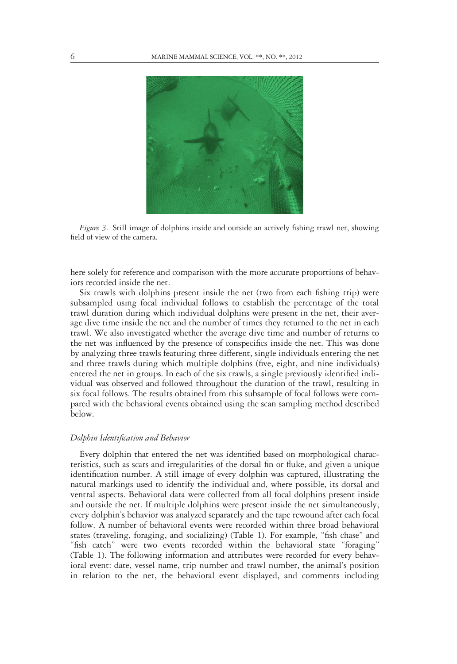

Figure 3. Still image of dolphins inside and outside an actively fishing trawl net, showing field of view of the camera.

here solely for reference and comparison with the more accurate proportions of behaviors recorded inside the net.

Six trawls with dolphins present inside the net (two from each fishing trip) were subsampled using focal individual follows to establish the percentage of the total trawl duration during which individual dolphins were present in the net, their average dive time inside the net and the number of times they returned to the net in each trawl. We also investigated whether the average dive time and number of returns to the net was influenced by the presence of conspecifics inside the net. This was done by analyzing three trawls featuring three different, single individuals entering the net and three trawls during which multiple dolphins (five, eight, and nine individuals) entered the net in groups. In each of the six trawls, a single previously identified individual was observed and followed throughout the duration of the trawl, resulting in six focal follows. The results obtained from this subsample of focal follows were compared with the behavioral events obtained using the scan sampling method described below.

#### Dolphin Identification and Behavior

Every dolphin that entered the net was identified based on morphological characteristics, such as scars and irregularities of the dorsal fin or fluke, and given a unique identification number. A still image of every dolphin was captured, illustrating the natural markings used to identify the individual and, where possible, its dorsal and ventral aspects. Behavioral data were collected from all focal dolphins present inside and outside the net. If multiple dolphins were present inside the net simultaneously, every dolphin's behavior was analyzed separately and the tape rewound after each focal follow. A number of behavioral events were recorded within three broad behavioral states (traveling, foraging, and socializing) (Table 1). For example, "fish chase" and "fish catch" were two events recorded within the behavioral state "foraging" (Table 1). The following information and attributes were recorded for every behavioral event: date, vessel name, trip number and trawl number, the animal's position in relation to the net, the behavioral event displayed, and comments including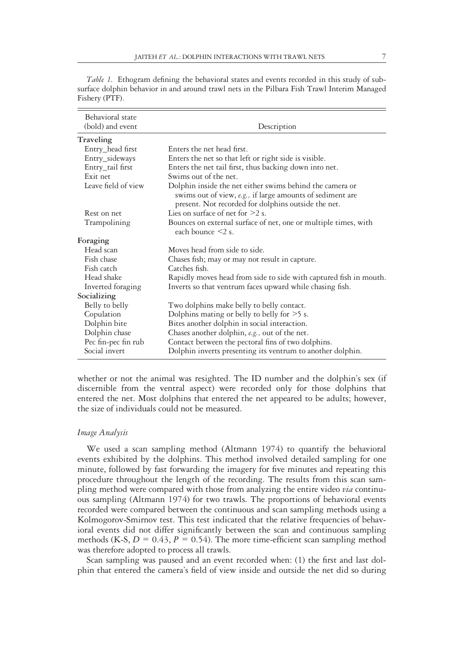|  |  | í |
|--|--|---|
|  |  |   |
|  |  |   |
|  |  |   |
|  |  |   |

Table 1. Ethogram defining the behavioral states and events recorded in this study of subsurface dolphin behavior in and around trawl nets in the Pilbara Fish Trawl Interim Managed Fishery (PTF).

| Behavioral state    |                                                                                                                                                                              |  |  |
|---------------------|------------------------------------------------------------------------------------------------------------------------------------------------------------------------------|--|--|
| (bold) and event    | Description                                                                                                                                                                  |  |  |
| Traveling           |                                                                                                                                                                              |  |  |
| Entry_head first    | Enters the net head first.                                                                                                                                                   |  |  |
| Entry_sideways      | Enters the net so that left or right side is visible.                                                                                                                        |  |  |
| Entry_tail first    | Enters the net tail first, thus backing down into net.                                                                                                                       |  |  |
| Exit net            | Swims out of the net.                                                                                                                                                        |  |  |
| Leave field of view | Dolphin inside the net either swims behind the camera or<br>swims out of view, e.g., if large amounts of sediment are<br>present. Not recorded for dolphins outside the net. |  |  |
| Rest on net         | Lies on surface of net for $>2$ s.                                                                                                                                           |  |  |
| Trampolining        | Bounces on external surface of net, one or multiple times, with<br>each bounce $\leq 2$ s.                                                                                   |  |  |
| Foraging            |                                                                                                                                                                              |  |  |
| Head scan           | Moves head from side to side.                                                                                                                                                |  |  |
| Fish chase          | Chases fish; may or may not result in capture.                                                                                                                               |  |  |
| Fish catch          | Catches fish.                                                                                                                                                                |  |  |
| Head shake          | Rapidly moves head from side to side with captured fish in mouth.                                                                                                            |  |  |
| Inverted foraging   | Inverts so that ventrum faces upward while chasing fish.                                                                                                                     |  |  |
| Socializing         |                                                                                                                                                                              |  |  |
| Belly to belly      | Two dolphins make belly to belly contact.                                                                                                                                    |  |  |
| Copulation          | Dolphins mating or belly to belly for $>5$ s.                                                                                                                                |  |  |
| Dolphin bite        | Bites another dolphin in social interaction.                                                                                                                                 |  |  |
| Dolphin chase       | Chases another dolphin, e.g., out of the net.                                                                                                                                |  |  |
| Pec fin-pec fin rub | Contact between the pectoral fins of two dolphins.                                                                                                                           |  |  |
| Social invert       | Dolphin inverts presenting its ventrum to another dolphin.                                                                                                                   |  |  |

whether or not the animal was resighted. The ID number and the dolphin's sex (if discernible from the ventral aspect) were recorded only for those dolphins that entered the net. Most dolphins that entered the net appeared to be adults; however, the size of individuals could not be measured.

# Image Analysis

We used a scan sampling method (Altmann 1974) to quantify the behavioral events exhibited by the dolphins. This method involved detailed sampling for one minute, followed by fast forwarding the imagery for five minutes and repeating this procedure throughout the length of the recording. The results from this scan sampling method were compared with those from analyzing the entire video via continuous sampling (Altmann 1974) for two trawls. The proportions of behavioral events recorded were compared between the continuous and scan sampling methods using a Kolmogorov-Smirnov test. This test indicated that the relative frequencies of behavioral events did not differ significantly between the scan and continuous sampling methods (K-S,  $D = 0.43$ ,  $P = 0.54$ ). The more time-efficient scan sampling method was therefore adopted to process all trawls.

Scan sampling was paused and an event recorded when: (1) the first and last dolphin that entered the camera's field of view inside and outside the net did so during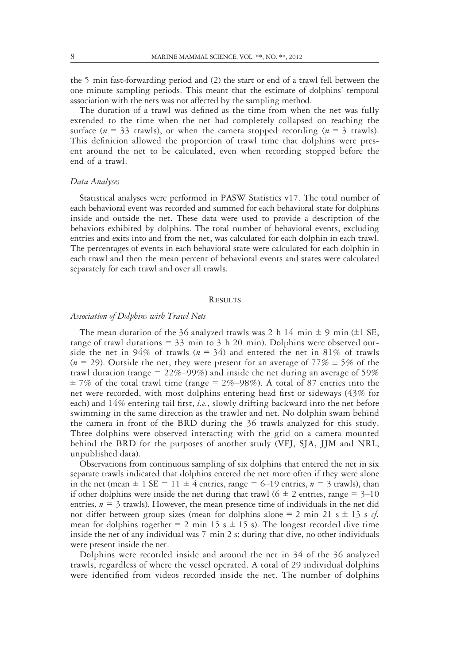the 5 min fast-forwarding period and (2) the start or end of a trawl fell between the one minute sampling periods. This meant that the estimate of dolphins' temporal association with the nets was not affected by the sampling method.

The duration of a trawl was defined as the time from when the net was fully extended to the time when the net had completely collapsed on reaching the surface ( $n = 33$  trawls), or when the camera stopped recording ( $n = 3$  trawls). This definition allowed the proportion of trawl time that dolphins were present around the net to be calculated, even when recording stopped before the end of a trawl.

# Data Analyses

Statistical analyses were performed in PASW Statistics v17. The total number of each behavioral event was recorded and summed for each behavioral state for dolphins inside and outside the net. These data were used to provide a description of the behaviors exhibited by dolphins. The total number of behavioral events, excluding entries and exits into and from the net, was calculated for each dolphin in each trawl. The percentages of events in each behavioral state were calculated for each dolphin in each trawl and then the mean percent of behavioral events and states were calculated separately for each trawl and over all trawls.

#### **RESULTS**

# Association of Dolphins with Trawl Nets

The mean duration of the 36 analyzed trawls was 2 h 14 min  $\pm$  9 min ( $\pm$ 1 SE, range of trawl durations  $=$  33 min to 3 h 20 min). Dolphins were observed outside the net in 94% of trawls ( $n = 34$ ) and entered the net in 81% of trawls ( $n = 29$ ). Outside the net, they were present for an average of 77%  $\pm$  5% of the trawl duration (range =  $22\% - 99\%$ ) and inside the net during an average of 59%  $\pm$  7% of the total trawl time (range = 2%–98%). A total of 87 entries into the net were recorded, with most dolphins entering head first or sideways (43% for each) and 14% entering tail first, i.e., slowly drifting backward into the net before swimming in the same direction as the trawler and net. No dolphin swam behind the camera in front of the BRD during the 36 trawls analyzed for this study. Three dolphins were observed interacting with the grid on a camera mounted behind the BRD for the purposes of another study (VFJ, SJA, JJM and NRL, unpublished data).

Observations from continuous sampling of six dolphins that entered the net in six separate trawls indicated that dolphins entered the net more often if they were alone in the net (mean  $\pm 1$  SE = 11  $\pm 4$  entries, range = 6–19 entries,  $n = 3$  trawls), than if other dolphins were inside the net during that trawl ( $6 \pm 2$  entries, range = 3–10 entries,  $n = 3$  trawls). However, the mean presence time of individuals in the net did not differ between group sizes (mean for dolphins alone = 2 min 21 s  $\pm$  13 s *cf.* mean for dolphins together  $= 2$  min 15 s  $\pm$  15 s). The longest recorded dive time inside the net of any individual was 7 min 2 s; during that dive, no other individuals were present inside the net.

Dolphins were recorded inside and around the net in 34 of the 36 analyzed trawls, regardless of where the vessel operated. A total of 29 individual dolphins were identified from videos recorded inside the net. The number of dolphins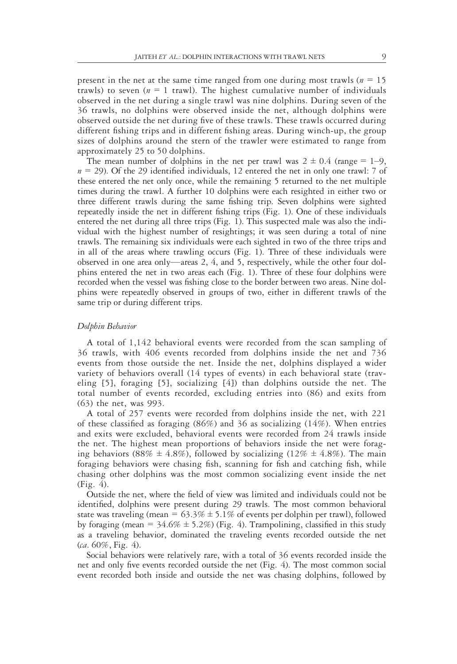present in the net at the same time ranged from one during most trawls ( $n = 15$ ) trawls) to seven ( $n = 1$  trawl). The highest cumulative number of individuals observed in the net during a single trawl was nine dolphins. During seven of the 36 trawls, no dolphins were observed inside the net, although dolphins were observed outside the net during five of these trawls. These trawls occurred during different fishing trips and in different fishing areas. During winch-up, the group sizes of dolphins around the stern of the trawler were estimated to range from approximately 25 to 50 dolphins.

The mean number of dolphins in the net per trawl was  $2 \pm 0.4$  (range = 1–9,  $n = 29$ ). Of the 29 identified individuals, 12 entered the net in only one trawl: 7 of these entered the net only once, while the remaining 5 returned to the net multiple times during the trawl. A further 10 dolphins were each resighted in either two or three different trawls during the same fishing trip. Seven dolphins were sighted repeatedly inside the net in different fishing trips (Fig. 1). One of these individuals entered the net during all three trips (Fig. 1). This suspected male was also the individual with the highest number of resightings; it was seen during a total of nine trawls. The remaining six individuals were each sighted in two of the three trips and in all of the areas where trawling occurs (Fig. 1). Three of these individuals were observed in one area only—areas 2, 4, and 5, respectively, while the other four dolphins entered the net in two areas each (Fig. 1). Three of these four dolphins were recorded when the vessel was fishing close to the border between two areas. Nine dolphins were repeatedly observed in groups of two, either in different trawls of the same trip or during different trips.

#### Dolphin Behavior

A total of 1,142 behavioral events were recorded from the scan sampling of 36 trawls, with 406 events recorded from dolphins inside the net and 736 events from those outside the net. Inside the net, dolphins displayed a wider variety of behaviors overall (14 types of events) in each behavioral state (traveling [5], foraging [5], socializing [4]) than dolphins outside the net. The total number of events recorded, excluding entries into (86) and exits from (63) the net, was 993.

A total of 257 events were recorded from dolphins inside the net, with 221 of these classified as foraging  $(86%)$  and 36 as socializing  $(14%)$ . When entries and exits were excluded, behavioral events were recorded from 24 trawls inside the net. The highest mean proportions of behaviors inside the net were foraging behaviors (88%  $\pm$  4.8%), followed by socializing (12%  $\pm$  4.8%). The main foraging behaviors were chasing fish, scanning for fish and catching fish, while chasing other dolphins was the most common socializing event inside the net (Fig. 4).

Outside the net, where the field of view was limited and individuals could not be identified, dolphins were present during 29 trawls. The most common behavioral state was traveling (mean =  $63.3\% \pm 5.1\%$  of events per dolphin per trawl), followed by foraging (mean =  $34.6\% \pm 5.2\%$ ) (Fig. 4). Trampolining, classified in this study as a traveling behavior, dominated the traveling events recorded outside the net  $(ca. 60\%, Fig. 4)$ .

Social behaviors were relatively rare, with a total of 36 events recorded inside the net and only five events recorded outside the net (Fig. 4). The most common social event recorded both inside and outside the net was chasing dolphins, followed by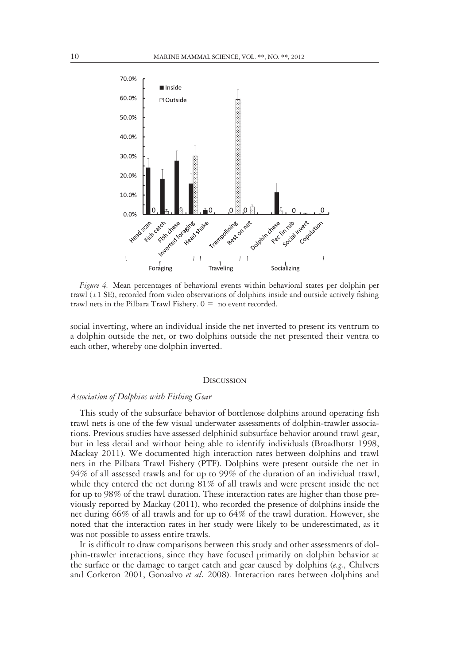

Figure 4. Mean percentages of behavioral events within behavioral states per dolphin per trawl  $(\pm 1 \text{ SE})$ , recorded from video observations of dolphins inside and outside actively fishing trawl nets in the Pilbara Trawl Fishery.  $0 =$  no event recorded.

social inverting, where an individual inside the net inverted to present its ventrum to a dolphin outside the net, or two dolphins outside the net presented their ventra to each other, whereby one dolphin inverted.

#### **DISCUSSION**

# Association of Dolphins with Fishing Gear

This study of the subsurface behavior of bottlenose dolphins around operating fish trawl nets is one of the few visual underwater assessments of dolphin-trawler associations. Previous studies have assessed delphinid subsurface behavior around trawl gear, but in less detail and without being able to identify individuals (Broadhurst 1998, Mackay 2011). We documented high interaction rates between dolphins and trawl nets in the Pilbara Trawl Fishery (PTF). Dolphins were present outside the net in 94% of all assessed trawls and for up to 99% of the duration of an individual trawl, while they entered the net during 81% of all trawls and were present inside the net for up to 98% of the trawl duration. These interaction rates are higher than those previously reported by Mackay (2011), who recorded the presence of dolphins inside the net during 66% of all trawls and for up to 64% of the trawl duration. However, she noted that the interaction rates in her study were likely to be underestimated, as it was not possible to assess entire trawls.

It is difficult to draw comparisons between this study and other assessments of dolphin-trawler interactions, since they have focused primarily on dolphin behavior at the surface or the damage to target catch and gear caused by dolphins  $(e.g.,$  Chilvers and Corkeron 2001, Gonzalvo et al. 2008). Interaction rates between dolphins and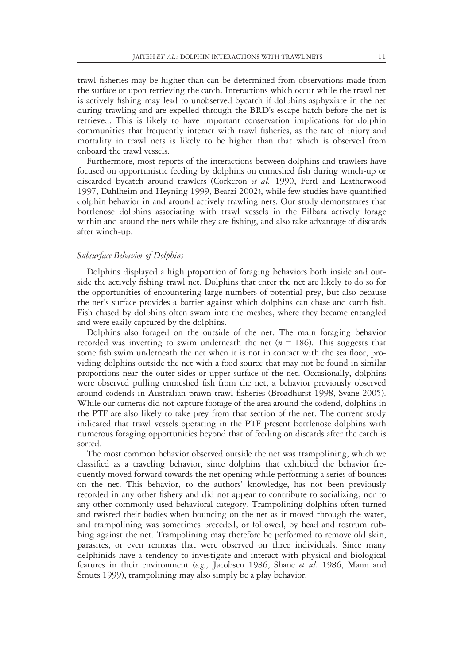trawl fisheries may be higher than can be determined from observations made from the surface or upon retrieving the catch. Interactions which occur while the trawl net is actively fishing may lead to unobserved bycatch if dolphins asphyxiate in the net during trawling and are expelled through the BRD's escape hatch before the net is retrieved. This is likely to have important conservation implications for dolphin communities that frequently interact with trawl fisheries, as the rate of injury and mortality in trawl nets is likely to be higher than that which is observed from onboard the trawl vessels.

Furthermore, most reports of the interactions between dolphins and trawlers have focused on opportunistic feeding by dolphins on enmeshed fish during winch-up or discarded bycatch around trawlers (Corkeron et al. 1990, Fertl and Leatherwood 1997, Dahlheim and Heyning 1999, Bearzi 2002), while few studies have quantified dolphin behavior in and around actively trawling nets. Our study demonstrates that bottlenose dolphins associating with trawl vessels in the Pilbara actively forage within and around the nets while they are fishing, and also take advantage of discards after winch-up.

# Subsurface Behavior of Dolphins

Dolphins displayed a high proportion of foraging behaviors both inside and outside the actively fishing trawl net. Dolphins that enter the net are likely to do so for the opportunities of encountering large numbers of potential prey, but also because the net's surface provides a barrier against which dolphins can chase and catch fish. Fish chased by dolphins often swam into the meshes, where they became entangled and were easily captured by the dolphins.

Dolphins also foraged on the outside of the net. The main foraging behavior recorded was inverting to swim underneath the net ( $n = 186$ ). This suggests that some fish swim underneath the net when it is not in contact with the sea floor, providing dolphins outside the net with a food source that may not be found in similar proportions near the outer sides or upper surface of the net. Occasionally, dolphins were observed pulling enmeshed fish from the net, a behavior previously observed around codends in Australian prawn trawl fisheries (Broadhurst 1998, Svane 2005). While our cameras did not capture footage of the area around the codend, dolphins in the PTF are also likely to take prey from that section of the net. The current study indicated that trawl vessels operating in the PTF present bottlenose dolphins with numerous foraging opportunities beyond that of feeding on discards after the catch is sorted.

The most common behavior observed outside the net was trampolining, which we classified as a traveling behavior, since dolphins that exhibited the behavior frequently moved forward towards the net opening while performing a series of bounces on the net. This behavior, to the authors' knowledge, has not been previously recorded in any other fishery and did not appear to contribute to socializing, nor to any other commonly used behavioral category. Trampolining dolphins often turned and twisted their bodies when bouncing on the net as it moved through the water, and trampolining was sometimes preceded, or followed, by head and rostrum rubbing against the net. Trampolining may therefore be performed to remove old skin, parasites, or even remoras that were observed on three individuals. Since many delphinids have a tendency to investigate and interact with physical and biological features in their environment (e.g., Jacobsen 1986, Shane et al. 1986, Mann and Smuts 1999), trampolining may also simply be a play behavior.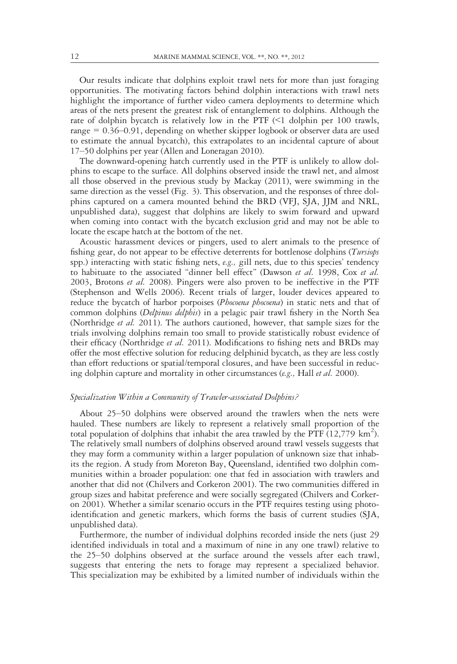Our results indicate that dolphins exploit trawl nets for more than just foraging opportunities. The motivating factors behind dolphin interactions with trawl nets highlight the importance of further video camera deployments to determine which areas of the nets present the greatest risk of entanglement to dolphins. Although the rate of dolphin bycatch is relatively low in the PTF (<1 dolphin per 100 trawls, range = 0.36–0.91, depending on whether skipper logbook or observer data are used to estimate the annual bycatch), this extrapolates to an incidental capture of about 17–50 dolphins per year (Allen and Loneragan 2010).

The downward-opening hatch currently used in the PTF is unlikely to allow dolphins to escape to the surface. All dolphins observed inside the trawl net, and almost all those observed in the previous study by Mackay (2011), were swimming in the same direction as the vessel (Fig. 3). This observation, and the responses of three dolphins captured on a camera mounted behind the BRD (VFJ, SJA, JJM and NRL, unpublished data), suggest that dolphins are likely to swim forward and upward when coming into contact with the bycatch exclusion grid and may not be able to locate the escape hatch at the bottom of the net.

Acoustic harassment devices or pingers, used to alert animals to the presence of fishing gear, do not appear to be effective deterrents for bottlenose dolphins (Tursiops spp.) interacting with static fishing nets, e.g., gill nets, due to this species' tendency to habituate to the associated "dinner bell effect" (Dawson et al. 1998, Cox et al. 2003, Brotons et al. 2008). Pingers were also proven to be ineffective in the PTF (Stephenson and Wells 2006). Recent trials of larger, louder devices appeared to reduce the bycatch of harbor porpoises (*Phocoena phocoena*) in static nets and that of common dolphins (Delpinus delphis) in a pelagic pair trawl fishery in the North Sea (Northridge *et al.* 2011). The authors cautioned, however, that sample sizes for the trials involving dolphins remain too small to provide statistically robust evidence of their efficacy (Northridge et al. 2011). Modifications to fishing nets and BRDs may offer the most effective solution for reducing delphinid bycatch, as they are less costly than effort reductions or spatial/temporal closures, and have been successful in reducing dolphin capture and mortality in other circumstances (e.g., Hall et al. 2000).

# Specialization Within a Community of Trawler-associated Dolphins?

About 25–50 dolphins were observed around the trawlers when the nets were hauled. These numbers are likely to represent a relatively small proportion of the total population of dolphins that inhabit the area trawled by the PTF (12,779  $\text{km}^2$ ). The relatively small numbers of dolphins observed around trawl vessels suggests that they may form a community within a larger population of unknown size that inhabits the region. A study from Moreton Bay, Queensland, identified two dolphin communities within a broader population: one that fed in association with trawlers and another that did not (Chilvers and Corkeron 2001). The two communities differed in group sizes and habitat preference and were socially segregated (Chilvers and Corkeron 2001). Whether a similar scenario occurs in the PTF requires testing using photoidentification and genetic markers, which forms the basis of current studies (SJA, unpublished data).

Furthermore, the number of individual dolphins recorded inside the nets (just 29 identified individuals in total and a maximum of nine in any one trawl) relative to the 25–50 dolphins observed at the surface around the vessels after each trawl, suggests that entering the nets to forage may represent a specialized behavior. This specialization may be exhibited by a limited number of individuals within the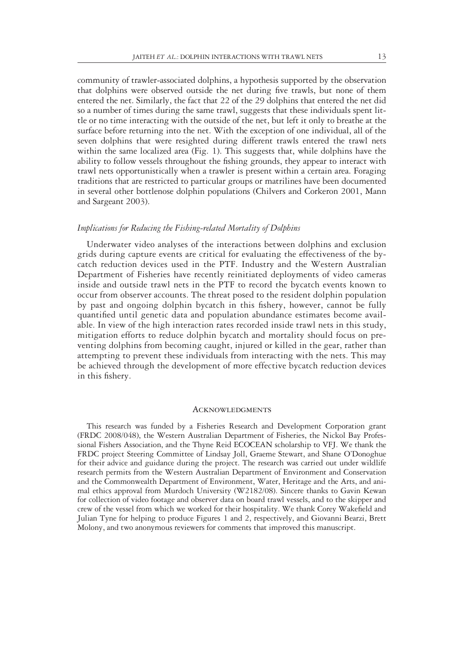community of trawler-associated dolphins, a hypothesis supported by the observation that dolphins were observed outside the net during five trawls, but none of them entered the net. Similarly, the fact that 22 of the 29 dolphins that entered the net did so a number of times during the same trawl, suggests that these individuals spent little or no time interacting with the outside of the net, but left it only to breathe at the surface before returning into the net. With the exception of one individual, all of the seven dolphins that were resighted during different trawls entered the trawl nets within the same localized area (Fig. 1). This suggests that, while dolphins have the ability to follow vessels throughout the fishing grounds, they appear to interact with trawl nets opportunistically when a trawler is present within a certain area. Foraging traditions that are restricted to particular groups or matrilines have been documented in several other bottlenose dolphin populations (Chilvers and Corkeron 2001, Mann and Sargeant 2003).

# Implications for Reducing the Fishing-related Mortality of Dolphins

Underwater video analyses of the interactions between dolphins and exclusion grids during capture events are critical for evaluating the effectiveness of the bycatch reduction devices used in the PTF. Industry and the Western Australian Department of Fisheries have recently reinitiated deployments of video cameras inside and outside trawl nets in the PTF to record the bycatch events known to occur from observer accounts. The threat posed to the resident dolphin population by past and ongoing dolphin bycatch in this fishery, however, cannot be fully quantified until genetic data and population abundance estimates become available. In view of the high interaction rates recorded inside trawl nets in this study, mitigation efforts to reduce dolphin bycatch and mortality should focus on preventing dolphins from becoming caught, injured or killed in the gear, rather than attempting to prevent these individuals from interacting with the nets. This may be achieved through the development of more effective bycatch reduction devices in this fishery.

#### **ACKNOWLEDGMENTS**

This research was funded by a Fisheries Research and Development Corporation grant (FRDC 2008/048), the Western Australian Department of Fisheries, the Nickol Bay Professional Fishers Association, and the Thyne Reid ECOCEAN scholarship to VFJ. We thank the FRDC project Steering Committee of Lindsay Joll, Graeme Stewart, and Shane O'Donoghue for their advice and guidance during the project. The research was carried out under wildlife research permits from the Western Australian Department of Environment and Conservation and the Commonwealth Department of Environment, Water, Heritage and the Arts, and animal ethics approval from Murdoch University (W2182/08). Sincere thanks to Gavin Kewan for collection of video footage and observer data on board trawl vessels, and to the skipper and crew of the vessel from which we worked for their hospitality. We thank Corey Wakefield and Julian Tyne for helping to produce Figures 1 and 2, respectively, and Giovanni Bearzi, Brett Molony, and two anonymous reviewers for comments that improved this manuscript.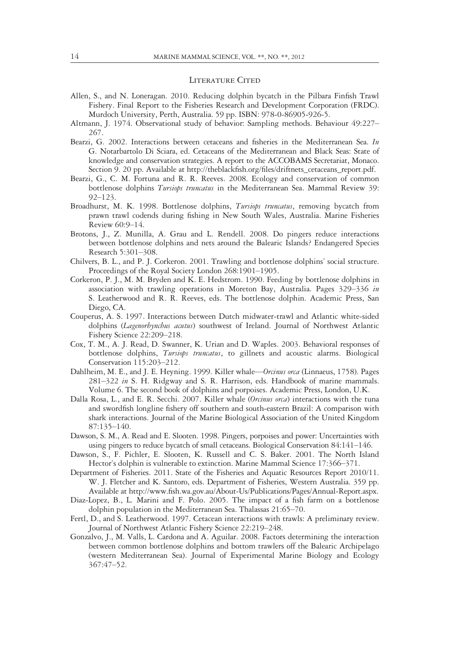#### LITERATURE CITED

- Allen, S., and N. Loneragan. 2010. Reducing dolphin bycatch in the Pilbara Finfish Trawl Fishery. Final Report to the Fisheries Research and Development Corporation (FRDC). Murdoch University, Perth, Australia. 59 pp. ISBN: 978-0-86905-926-5.
- Altmann, J. 1974. Observational study of behavior: Sampling methods. Behaviour 49:227– 267.
- Bearzi, G. 2002. Interactions between cetaceans and fisheries in the Mediterranean Sea. In G. Notarbartolo Di Sciara, ed. Cetaceans of the Mediterranean and Black Seas: State of knowledge and conservation strategies. A report to the ACCOBAMS Secretariat, Monaco. Section 9. 20 pp. Available at http://theblackfish.org/files/driftnets\_cetaceans\_report.pdf.
- Bearzi, G., C. M. Fortuna and R. R. Reeves. 2008. Ecology and conservation of common bottlenose dolphins *Tursiops truncatus* in the Mediterranean Sea. Mammal Review 39: 92–123.
- Broadhurst, M. K. 1998. Bottlenose dolphins, Tursiops truncatus, removing bycatch from prawn trawl codends during fishing in New South Wales, Australia. Marine Fisheries Review 60:9–14.
- Brotons, J., Z. Munilla, A. Grau and L. Rendell. 2008. Do pingers reduce interactions between bottlenose dolphins and nets around the Balearic Islands? Endangered Species Research 5:301–308.
- Chilvers, B. L., and P. J. Corkeron. 2001. Trawling and bottlenose dolphins' social structure. Proceedings of the Royal Society London 268:1901–1905.
- Corkeron, P. J., M. M. Bryden and K. E. Hedstrom. 1990. Feeding by bottlenose dolphins in association with trawling operations in Moreton Bay, Australia. Pages 329–336 in S. Leatherwood and R. R. Reeves, eds. The bottlenose dolphin. Academic Press, San Diego, CA.
- Couperus, A. S. 1997. Interactions between Dutch midwater-trawl and Atlantic white-sided dolphins (Lagenorhynchus acutus) southwest of Ireland. Journal of Northwest Atlantic Fishery Science 22:209–218.
- Cox, T. M., A. J. Read, D. Swanner, K. Urian and D. Waples. 2003. Behavioral responses of bottlenose dolphins, Tursiops truncatus, to gillnets and acoustic alarms. Biological Conservation 115:203–212.
- Dahlheim, M. E., and J. E. Heyning. 1999. Killer whale—Orcinus orca (Linnaeus, 1758). Pages 281–322 in S. H. Ridgway and S. R. Harrison, eds. Handbook of marine mammals. Volume 6. The second book of dolphins and porpoises. Academic Press, London, U.K.
- Dalla Rosa, L., and E. R. Secchi. 2007. Killer whale (Orcinus orca) interactions with the tuna and swordfish longline fishery off southern and south-eastern Brazil: A comparison with shark interactions. Journal of the Marine Biological Association of the United Kingdom 87:135–140.
- Dawson, S. M., A. Read and E. Slooten. 1998. Pingers, porpoises and power: Uncertainties with using pingers to reduce bycatch of small cetaceans. Biological Conservation 84:141–146.
- Dawson, S., F. Pichler, E. Slooten, K. Russell and C. S. Baker. 2001. The North Island Hector's dolphin is vulnerable to extinction. Marine Mammal Science 17:366–371.
- Department of Fisheries. 2011. State of the Fisheries and Aquatic Resources Report 2010/11. W. J. Fletcher and K. Santoro, eds. Department of Fisheries, Western Australia. 359 pp. Available at http://www.fish.wa.gov.au/About-Us/Publications/Pages/Annual-Report.aspx.
- Diaz-Lopez, B., L. Marini and F. Polo. 2005. The impact of a fish farm on a bottlenose dolphin population in the Mediterranean Sea. Thalassas 21:65–70.
- Fertl, D., and S. Leatherwood. 1997. Cetacean interactions with trawls: A preliminary review. Journal of Northwest Atlantic Fishery Science 22:219–248.
- Gonzalvo, J., M. Valls, L. Cardona and A. Aguilar. 2008. Factors determining the interaction between common bottlenose dolphins and bottom trawlers off the Balearic Archipelago (western Mediterranean Sea). Journal of Experimental Marine Biology and Ecology 367:47–52.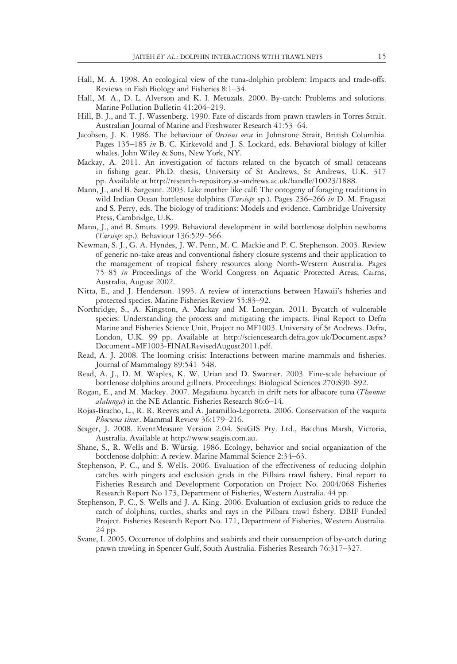- Hall, M. A. 1998. An ecological view of the tuna-dolphin problem: Impacts and trade-offs. Reviews in Fish Biology and Fisheries 8:1–34.
- Hall, M. A., D. L. Alverson and K. I. Metuzals. 2000. By-catch: Problems and solutions. Marine Pollution Bulletin 41:204–219.
- Hill, B. J., and T. J. Wassenberg. 1990. Fate of discards from prawn trawlers in Torres Strait. Australian Journal of Marine and Freshwater Research 41:53–64.
- Jacobsen, J. K. 1986. The behaviour of *Orcinus orca* in Johnstone Strait, British Columbia. Pages 135–185 in B. C. Kirkevold and J. S. Lockard, eds. Behavioral biology of killer whales. John Wiley & Sons, New York, NY.
- Mackay, A. 2011. An investigation of factors related to the bycatch of small cetaceans in fishing gear. Ph.D. thesis, University of St Andrews, St Andrews, U.K. 317 pp. Available at http://research-repository.st-andrews.ac.uk/handle/10023/1888.
- Mann, J., and B. Sargeant. 2003. Like mother like calf: The ontogeny of foraging traditions in wild Indian Ocean bottlenose dolphins (Tursiops sp.). Pages 236–266 in D. M. Fragaszi and S. Perry, eds. The biology of traditions: Models and evidence. Cambridge University Press, Cambridge, U.K.
- Mann, J., and B. Smuts. 1999. Behavioral development in wild bottlenose dolphin newborns (Tursiops sp.). Behaviour 136:529–566.
- Newman, S. J., G. A. Hyndes, J. W. Penn, M. C. Mackie and P. C. Stephenson. 2003. Review of generic no-take areas and conventional fishery closure systems and their application to the management of tropical fishery resources along North-Western Australia. Pages 75–85 in Proceedings of the World Congress on Aquatic Protected Areas, Cairns, Australia, August 2002.
- Nitta, E., and J. Henderson. 1993. A review of interactions between Hawaii's fisheries and protected species. Marine Fisheries Review 55:83–92.
- Northridge, S., A. Kingston, A. Mackay and M. Lonergan. 2011. Bycatch of vulnerable species: Understanding the process and mitigating the impacts. Final Report to Defra Marine and Fisheries Science Unit, Project no MF1003. University of St Andrews. Defra, London, U.K. 99 pp. Available at http://sciencesearch.defra.gov.uk/Document.aspx? Document=MF1003-FINALRevisedAugust2011.pdf.
- Read, A. J. 2008. The looming crisis: Interactions between marine mammals and fisheries. Journal of Mammalogy 89:541–548.
- Read, A. J., D. M. Waples, K. W. Urian and D. Swanner. 2003. Fine-scale behaviour of bottlenose dolphins around gillnets. Proceedings: Biological Sciences 270:S90–S92.
- Rogan, E., and M. Mackey. 2007. Megafauna bycatch in drift nets for albacore tuna (Thunnus alalunga) in the NE Atlantic. Fisheries Research 86:6-14.
- Rojas-Bracho, L., R. R. Reeves and A. Jaramillo-Legorreta. 2006. Conservation of the vaquita Phocoena sinus. Mammal Review 36:179-216.
- Seager, J. 2008. EventMeasure Version 2.04. SeaGIS Pty. Ltd., Bacchus Marsh, Victoria, Australia. Available at http://www.seagis.com.au.
- Shane, S., R. Wells and B. Würsig. 1986. Ecology, behavior and social organization of the bottlenose dolphin: A review. Marine Mammal Science 2:34–63.
- Stephenson, P. C., and S. Wells. 2006. Evaluation of the effectiveness of reducing dolphin catches with pingers and exclusion grids in the Pilbara trawl fishery. Final report to Fisheries Research and Development Corporation on Project No. 2004/068 Fisheries Research Report No 173, Department of Fisheries, Western Australia. 44 pp.
- Stephenson, P. C., S. Wells and J. A. King. 2006. Evaluation of exclusion grids to reduce the catch of dolphins, turtles, sharks and rays in the Pilbara trawl fishery. DBIF Funded Project. Fisheries Research Report No. 171, Department of Fisheries, Western Australia. 24 pp.
- Svane, I. 2005. Occurrence of dolphins and seabirds and their consumption of by-catch during prawn trawling in Spencer Gulf, South Australia. Fisheries Research 76:317–327.